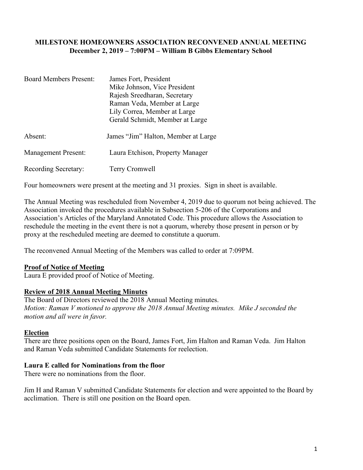### **MILESTONE HOMEOWNERS ASSOCIATION RECONVENED ANNUAL MEETING December 2, 2019 – 7:00PM – William B Gibbs Elementary School**

| <b>Board Members Present:</b> | James Fort, President<br>Mike Johnson, Vice President<br>Rajesh Sreedharan, Secretary<br>Raman Veda, Member at Large<br>Lily Correa, Member at Large<br>Gerald Schmidt, Member at Large |
|-------------------------------|-----------------------------------------------------------------------------------------------------------------------------------------------------------------------------------------|
| Absent:                       | James "Jim" Halton, Member at Large                                                                                                                                                     |
| <b>Management Present:</b>    | Laura Etchison, Property Manager                                                                                                                                                        |
| Recording Secretary:          | Terry Cromwell                                                                                                                                                                          |

Four homeowners were present at the meeting and 31 proxies. Sign in sheet is available.

The Annual Meeting was rescheduled from November 4, 2019 due to quorum not being achieved. The Association invoked the procedures available in Subsection 5-206 of the Corporations and Association's Articles of the Maryland Annotated Code. This procedure allows the Association to reschedule the meeting in the event there is not a quorum, whereby those present in person or by proxy at the rescheduled meeting are deemed to constitute a quorum.

The reconvened Annual Meeting of the Members was called to order at 7:09PM.

#### **Proof of Notice of Meeting**

Laura E provided proof of Notice of Meeting.

#### **Review of 2018 Annual Meeting Minutes**

The Board of Directors reviewed the 2018 Annual Meeting minutes. *Motion: Raman V motioned to approve the 2018 Annual Meeting minutes. Mike J seconded the motion and all were in favor.* 

#### **Election**

There are three positions open on the Board, James Fort, Jim Halton and Raman Veda. Jim Halton and Raman Veda submitted Candidate Statements for reelection.

#### **Laura E called for Nominations from the floor**

There were no nominations from the floor.

Jim H and Raman V submitted Candidate Statements for election and were appointed to the Board by acclimation. There is still one position on the Board open.